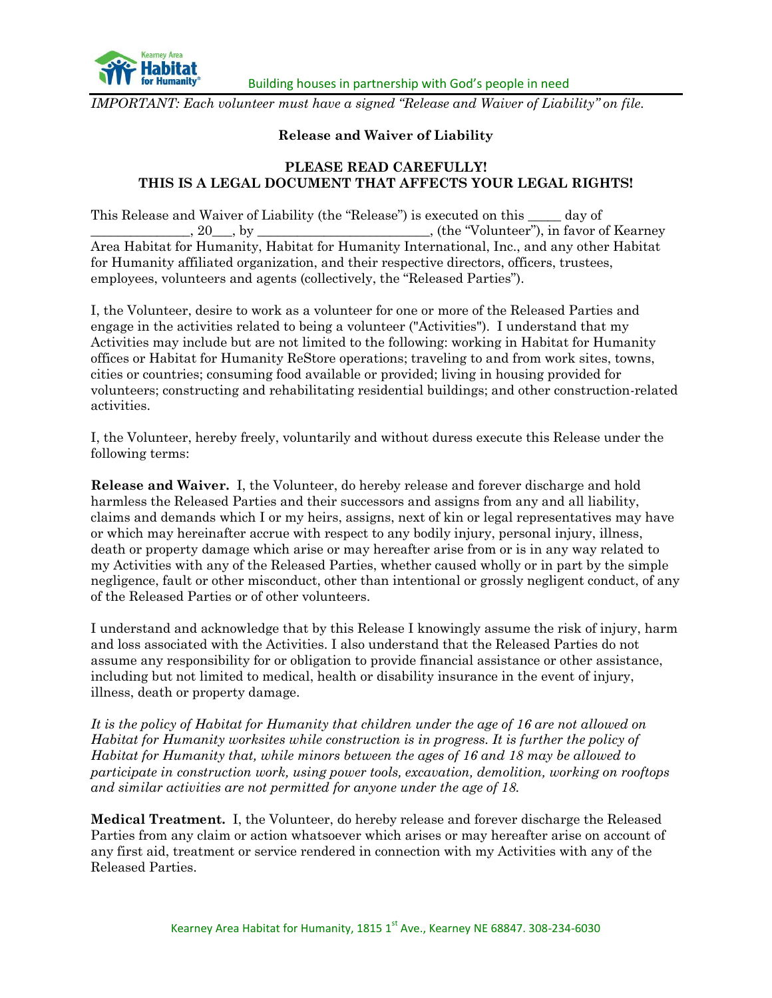

*IMPORTANT: Each volunteer must have a signed "Release and Waiver of Liability" on file.*

## **Release and Waiver of Liability**

## **PLEASE READ CAREFULLY! THIS IS A LEGAL DOCUMENT THAT AFFECTS YOUR LEGAL RIGHTS!**

This Release and Waiver of Liability (the "Release") is executed on this \_\_\_\_\_ day of . 20  $\,$ , by  $\,$  . (the "Volunteer"), in favor of Kearney Area Habitat for Humanity, Habitat for Humanity International, Inc., and any other Habitat for Humanity affiliated organization, and their respective directors, officers, trustees, employees, volunteers and agents (collectively, the "Released Parties").

I, the Volunteer, desire to work as a volunteer for one or more of the Released Parties and engage in the activities related to being a volunteer ("Activities"). I understand that my Activities may include but are not limited to the following: working in Habitat for Humanity offices or Habitat for Humanity ReStore operations; traveling to and from work sites, towns, cities or countries; consuming food available or provided; living in housing provided for volunteers; constructing and rehabilitating residential buildings; and other construction-related activities.

I, the Volunteer, hereby freely, voluntarily and without duress execute this Release under the following terms:

**Release and Waiver.** I, the Volunteer, do hereby release and forever discharge and hold harmless the Released Parties and their successors and assigns from any and all liability, claims and demands which I or my heirs, assigns, next of kin or legal representatives may have or which may hereinafter accrue with respect to any bodily injury, personal injury, illness, death or property damage which arise or may hereafter arise from or is in any way related to my Activities with any of the Released Parties, whether caused wholly or in part by the simple negligence, fault or other misconduct, other than intentional or grossly negligent conduct, of any of the Released Parties or of other volunteers.

I understand and acknowledge that by this Release I knowingly assume the risk of injury, harm and loss associated with the Activities. I also understand that the Released Parties do not assume any responsibility for or obligation to provide financial assistance or other assistance, including but not limited to medical, health or disability insurance in the event of injury, illness, death or property damage.

*It is the policy of Habitat for Humanity that children under the age of 16 are not allowed on Habitat for Humanity worksites while construction is in progress. It is further the policy of Habitat for Humanity that, while minors between the ages of 16 and 18 may be allowed to participate in construction work, using power tools, excavation, demolition, working on rooftops and similar activities are not permitted for anyone under the age of 18.* 

**Medical Treatment.** I, the Volunteer, do hereby release and forever discharge the Released Parties from any claim or action whatsoever which arises or may hereafter arise on account of any first aid, treatment or service rendered in connection with my Activities with any of the Released Parties.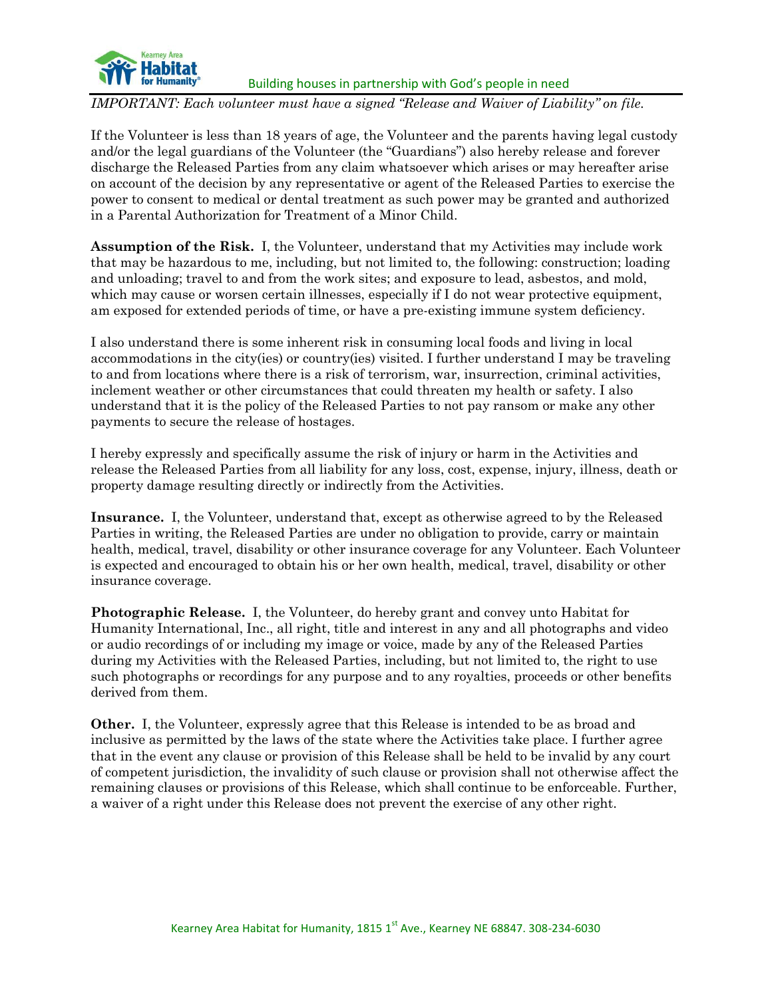

*IMPORTANT: Each volunteer must have a signed "Release and Waiver of Liability" on file.*

If the Volunteer is less than 18 years of age, the Volunteer and the parents having legal custody and/or the legal guardians of the Volunteer (the "Guardians") also hereby release and forever discharge the Released Parties from any claim whatsoever which arises or may hereafter arise on account of the decision by any representative or agent of the Released Parties to exercise the power to consent to medical or dental treatment as such power may be granted and authorized in a Parental Authorization for Treatment of a Minor Child.

**Assumption of the Risk.** I, the Volunteer, understand that my Activities may include work that may be hazardous to me, including, but not limited to, the following: construction; loading and unloading; travel to and from the work sites; and exposure to lead, asbestos, and mold, which may cause or worsen certain illnesses, especially if I do not wear protective equipment, am exposed for extended periods of time, or have a pre-existing immune system deficiency.

I also understand there is some inherent risk in consuming local foods and living in local accommodations in the city(ies) or country(ies) visited. I further understand I may be traveling to and from locations where there is a risk of terrorism, war, insurrection, criminal activities, inclement weather or other circumstances that could threaten my health or safety. I also understand that it is the policy of the Released Parties to not pay ransom or make any other payments to secure the release of hostages.

I hereby expressly and specifically assume the risk of injury or harm in the Activities and release the Released Parties from all liability for any loss, cost, expense, injury, illness, death or property damage resulting directly or indirectly from the Activities.

**Insurance.** I, the Volunteer, understand that, except as otherwise agreed to by the Released Parties in writing, the Released Parties are under no obligation to provide, carry or maintain health, medical, travel, disability or other insurance coverage for any Volunteer. Each Volunteer is expected and encouraged to obtain his or her own health, medical, travel, disability or other insurance coverage.

**Photographic Release.** I, the Volunteer, do hereby grant and convey unto Habitat for Humanity International, Inc., all right, title and interest in any and all photographs and video or audio recordings of or including my image or voice, made by any of the Released Parties during my Activities with the Released Parties, including, but not limited to, the right to use such photographs or recordings for any purpose and to any royalties, proceeds or other benefits derived from them.

**Other.** I, the Volunteer, expressly agree that this Release is intended to be as broad and inclusive as permitted by the laws of the state where the Activities take place. I further agree that in the event any clause or provision of this Release shall be held to be invalid by any court of competent jurisdiction, the invalidity of such clause or provision shall not otherwise affect the remaining clauses or provisions of this Release, which shall continue to be enforceable. Further, a waiver of a right under this Release does not prevent the exercise of any other right.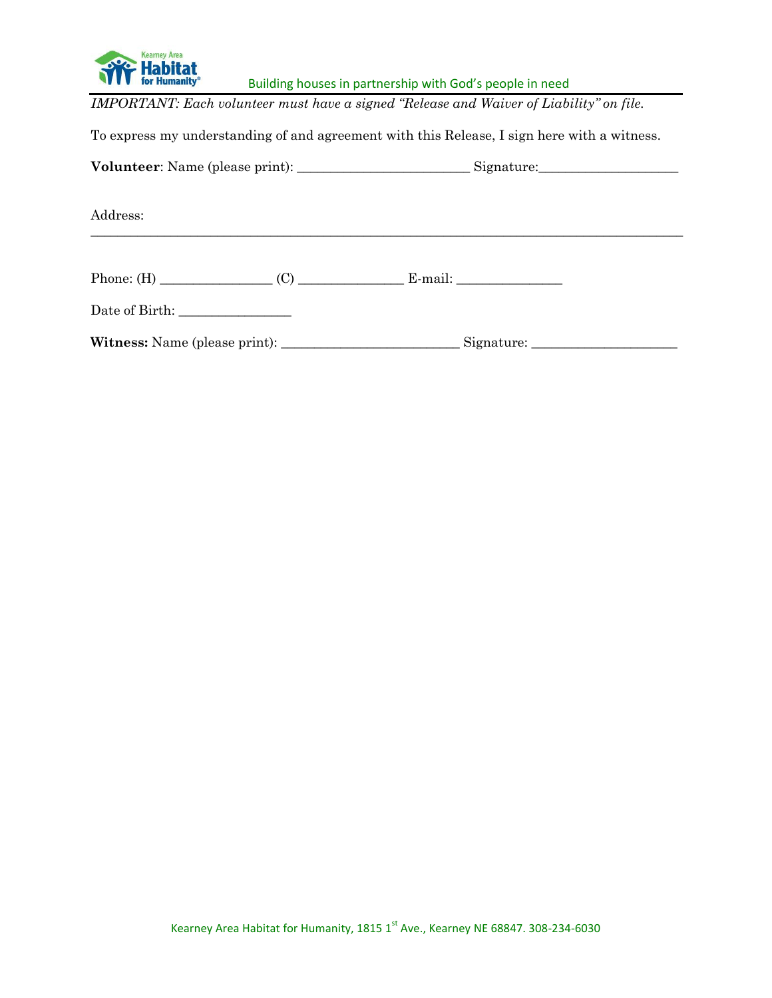

*IMPORTANT: Each volunteer must have a signed "Release and Waiver of Liability" on file.*

To express my understanding of and agreement with this Release, I sign here with a witness.

**Volunteer**: Name (please print): \_\_\_\_\_\_\_\_\_\_\_\_\_\_\_\_\_\_\_\_\_\_\_\_\_\_ Signature:\_\_\_\_\_\_\_\_\_\_\_\_\_\_\_\_\_\_\_\_\_

\_\_\_\_\_\_\_\_\_\_\_\_\_\_\_\_\_\_\_\_\_\_\_\_\_\_\_\_\_\_\_\_\_\_\_\_\_\_\_\_\_\_\_\_\_\_\_\_\_\_\_\_\_\_\_\_\_\_\_\_\_\_\_\_\_\_\_\_\_\_\_\_\_\_\_\_\_\_\_\_\_\_\_\_\_\_\_\_\_

Address:

Phone: (H) \_\_\_\_\_\_\_\_\_\_\_\_\_\_\_\_\_ (C) \_\_\_\_\_\_\_\_\_\_\_\_\_\_\_\_ E-mail: \_\_\_\_\_\_\_\_\_\_\_\_\_\_\_\_

Date of Birth: \_\_\_\_\_\_\_\_\_\_\_\_\_\_\_\_\_

**Witness:** Name (please print): \_\_\_\_\_\_\_\_\_\_\_\_\_\_\_\_\_\_\_\_\_\_\_\_\_\_\_ Signature: \_\_\_\_\_\_\_\_\_\_\_\_\_\_\_\_\_\_\_\_\_\_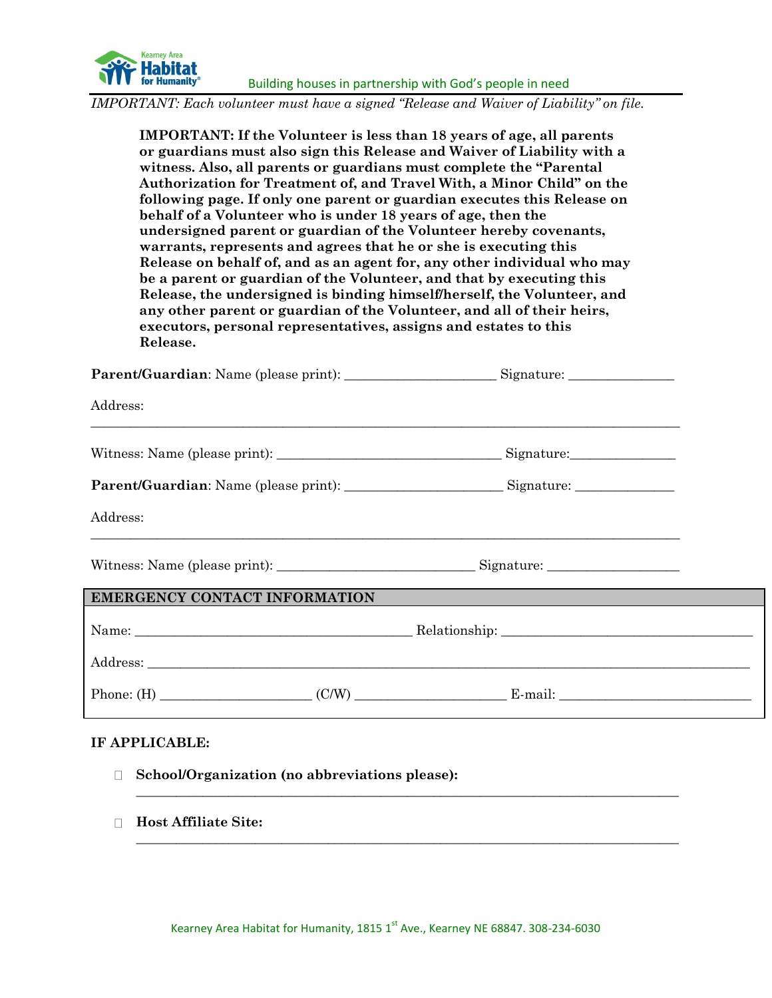

*IMPORTANT: Each volunteer must have a signed "Release and Waiver of Liability" on file.*

**IMPORTANT: If the Volunteer is less than 18 years of age, all parents or guardians must also sign this Release and Waiver of Liability with a witness. Also, all parents or guardians must complete the "Parental Authorization for Treatment of, and Travel With, a Minor Child" on the following page. If only one parent or guardian executes this Release on behalf of a Volunteer who is under 18 years of age, then the undersigned parent or guardian of the Volunteer hereby covenants, warrants, represents and agrees that he or she is executing this Release on behalf of, and as an agent for, any other individual who may be a parent or guardian of the Volunteer, and that by executing this Release, the undersigned is binding himself/herself, the Volunteer, and any other parent or guardian of the Volunteer, and all of their heirs, executors, personal representatives, assigns and estates to this Release.**

| <b>Parent/Guardian:</b> Name (please print): |  | Signature: |
|----------------------------------------------|--|------------|
|----------------------------------------------|--|------------|

 $\_$  , and the state of the state of the state of the state of the state of the state of the state of the state of the state of the state of the state of the state of the state of the state of the state of the state of the

Address:

Witness: Name (please print): \_\_\_\_\_\_\_\_\_\_\_\_\_\_\_\_\_\_\_\_\_\_\_\_\_\_\_\_\_\_\_\_\_\_ Signature:\_\_\_\_\_\_\_\_\_\_\_\_\_\_\_\_

|  | Parent/Guardian: Name (please print): |  | Signature: |
|--|---------------------------------------|--|------------|
|--|---------------------------------------|--|------------|

 $\_$  , and the state of the state of the state of the state of the state of the state of the state of the state of the state of the state of the state of the state of the state of the state of the state of the state of the

Address:

Witness: Name (please print): \_\_\_\_\_\_\_\_\_\_\_\_\_\_\_\_\_\_\_\_\_\_\_\_\_\_\_\_\_\_ Signature: \_\_\_\_\_\_\_\_\_\_\_\_\_\_\_\_\_\_\_\_

# **EMERGENCY CONTACT INFORMATION**

Name: \_\_\_\_\_\_\_\_\_\_\_\_\_\_\_\_\_\_\_\_\_\_\_\_\_\_\_\_\_\_\_\_\_\_\_\_\_\_\_\_\_\_ Relationship: \_\_\_\_\_\_\_\_\_\_\_\_\_\_\_\_\_\_\_\_\_\_\_\_\_\_\_\_\_\_\_\_\_\_\_\_\_\_ Address: \_\_\_\_\_\_\_\_\_\_\_\_\_\_\_\_\_\_\_\_\_\_\_\_\_\_\_\_\_\_\_\_\_\_\_\_\_\_\_\_\_\_\_\_\_\_\_\_\_\_\_\_\_\_\_\_\_\_\_\_\_\_\_\_\_\_\_\_\_\_\_\_\_\_\_\_\_\_\_\_\_\_\_\_\_\_\_\_\_\_\_ Phone:  $(H)$   $(C/W)$   $E$ -mail:

**\_\_\_\_\_\_\_\_\_\_\_\_\_\_\_\_\_\_\_\_\_\_\_\_\_\_\_\_\_\_\_\_\_\_\_\_\_\_\_\_\_\_\_\_\_\_\_\_\_\_\_\_\_\_\_\_\_\_\_\_\_\_\_\_\_\_\_\_\_\_\_\_\_\_\_\_\_\_\_\_\_\_**

**\_\_\_\_\_\_\_\_\_\_\_\_\_\_\_\_\_\_\_\_\_\_\_\_\_\_\_\_\_\_\_\_\_\_\_\_\_\_\_\_\_\_\_\_\_\_\_\_\_\_\_\_\_\_\_\_\_\_\_\_\_\_\_\_\_\_\_\_\_\_\_\_\_\_\_\_\_\_\_\_\_\_**

### **IF APPLICABLE:**

- **School/Organization (no abbreviations please):**
- **Host Affiliate Site:**